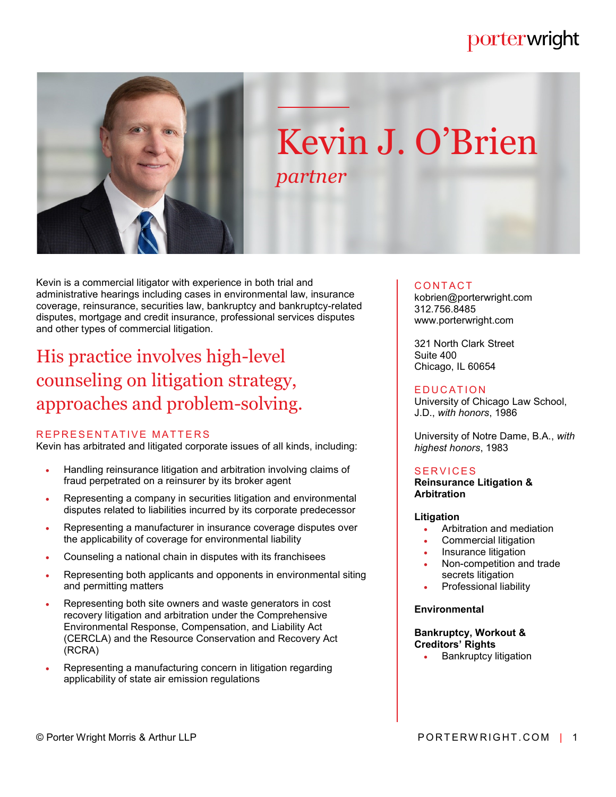# porterwright



# Kevin J. O'Brien *partner*

Kevin is a commercial litigator with experience in both trial and administrative hearings including cases in environmental law, insurance coverage, reinsurance, securities law, bankruptcy and bankruptcy-related disputes, mortgage and credit insurance, professional services disputes and other types of commercial litigation.

# His practice involves high-level counseling on litigation strategy, approaches and problem-solving.

## REPRESENTATIVE MATTERS

Kevin has arbitrated and litigated corporate issues of all kinds, including:

- Handling reinsurance litigation and arbitration involving claims of fraud perpetrated on a reinsurer by its broker agent
- Representing a company in securities litigation and environmental disputes related to liabilities incurred by its corporate predecessor
- Representing a manufacturer in insurance coverage disputes over the applicability of coverage for environmental liability
- Counseling a national chain in disputes with its franchisees
- Representing both applicants and opponents in environmental siting and permitting matters
- Representing both site owners and waste generators in cost recovery litigation and arbitration under the Comprehensive Environmental Response, Compensation, and Liability Act (CERCLA) and the Resource Conservation and Recovery Act (RCRA)
- Representing a manufacturing concern in litigation regarding applicability of state air emission regulations

#### **CONTACT**

kobrien@porterwright.com 312.756.8485 www.porterwright.com

321 North Clark Street Suite 400 Chicago, IL 60654

#### **EDUCATION**

University of Chicago Law School, J.D., *with honors*, 1986

University of Notre Dame, B.A., *with highest honors*, 1983

## **SERVICES**

**Reinsurance Litigation & Arbitration**

#### **Litigation**

- Arbitration and mediation
- Commercial litigation
- Insurance litigation
- Non-competition and trade secrets litigation
- Professional liability

#### **Environmental**

#### **Bankruptcy, Workout & Creditors' Rights**

Bankruptcy litigation